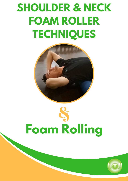## **SHOULDER & NECK FOAM ROLLER TECHNIQUES**



# & **Foam Rolling**

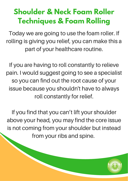### **Shoulder & Neck Foam Roller Techniques & Foam Rolling**

Today we are going to use the foam roller. If rolling is giving you relief, you can make this a part of your healthcare routine.

If you are having to roll constantly to relieve pain. I would suggest going to see a specialist so you can find out the root cause of your issue because you shouldn't have to always roll constantly for relief.

If you find that you can't lift your shoulder above your head, you may find the core issue is not coming from your shoulder but instead from your ribs and spine.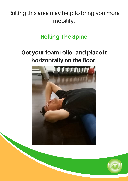Rolling this area may help to bring you more mobility.

#### Rolling The Spine

#### Get your foam roller and place it horizontally on the floor.

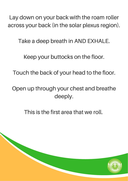Lay down on your back with the roam roller across your back (in the solar plexus region).

Take a deep breath in AND EXHALE.

Keep your buttocks on the floor.

Touch the back of your head to the floor.

Open up through your chest and breathe deeply.

This is the first area that we roll.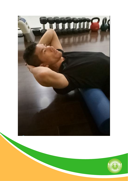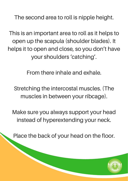The second area to roll is nipple height.

This is an important area to roll as it helps to open up the scapula (shoulder blades). It helps it to open and close, so you don't have your shoulders 'catching'.

From there inhale and exhale.

Stretching the intercostal muscles. (The muscles in between your ribcage).

Make sure you always support your head instead of hyperextending your neck.

Place the back of your head on the floor.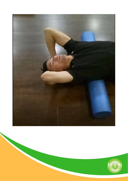

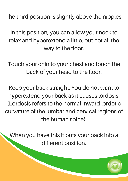The third position is slightly above the nipples.

In this position, you can allow your neck to relax and hyperextend a little, but not all the way to the floor.

Touch your chin to your chest and touch the back of your head to the floor.

Keep your back straight. You do not want to hyperextend your back as it causes lordosis. (Lordosis refers to the normal inward lordotic curvature of the lumbar and cervical regions of the human spine).

When you have this it puts your back into a different position.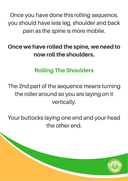Once you have done this rolling sequence, you should have less leg, shoulder and back pain as the spine is more mobile.

#### Once we have rolled the spine, we need to now roll the shoulders.

#### Rolling The Shoulders

The 2nd part of the sequence means turning the roller around so you are laying on it vertically.

Your buttocks laying one end and your head the other end.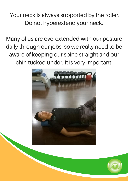Your neck is always supported by the roller. Do not hyperextend your neck.

Many of us are overextended with our posture daily through our jobs, so we really need to be aware of keeping our spine straight and our chin tucked under. It is very important.



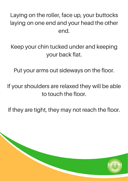#### Laying on the roller, face up, your buttocks laying on one end and your head the other end.

#### Keep your chin tucked under and keeping your back flat.

Put your arms out sideways on the floor.

#### If your shoulders are relaxed they will be able to touch the floor.

If they are tight, they may not reach the floor.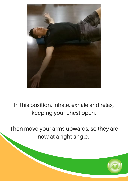

#### In this position, inhale, exhale and relax, keeping your chest open.

Then move your arms upwards, so they are now at a right angle.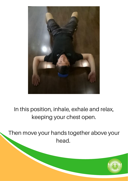

In this position, inhale, exhale and relax, keeping your chest open.

Then move your hands together above your head.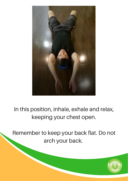

In this position, inhale, exhale and relax, keeping your chest open.

Remember to keep your back flat. Do not arch your back.